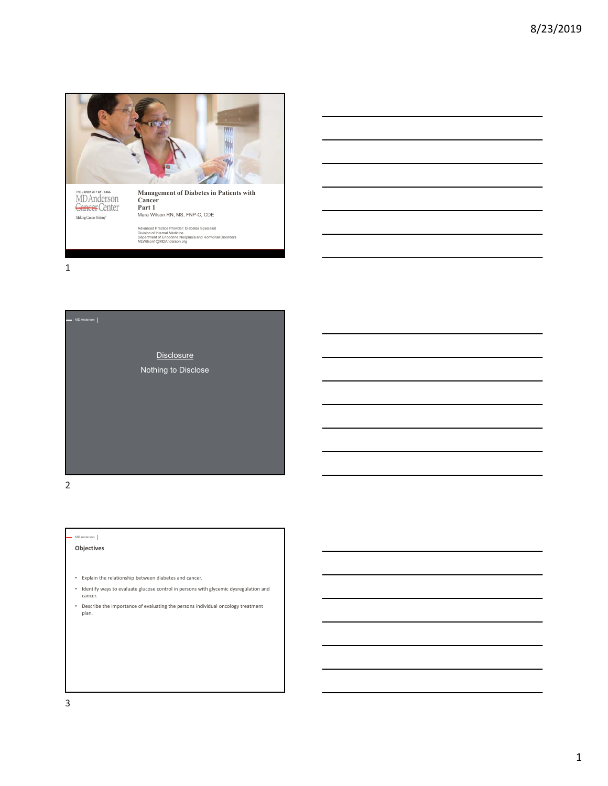

THE UNIVERSITY OF TEXAS<br>MD Anderson<br><del>Gance</del>f Center Making Cancer History'

Mara Wilson RN, MS, FNP-C, CDE **Management of Diabetes in Patients with Cancer Part 1**

Advanced Practice Provider: Diabetes Specialist<br>Division of Internal Medicine<br>Department of Endocrine Neoplasia and Hormonal Disorders<br>MLWilson1@MDAnderson.org

1



2

## MD Anderson

**Objectives**

- Explain the relationship between diabetes and cancer.
- Identify ways to evaluate glucose control in persons with glycemic dysregulation and cancer.
- Describe the importance of evaluating the persons individual oncology treatment plan.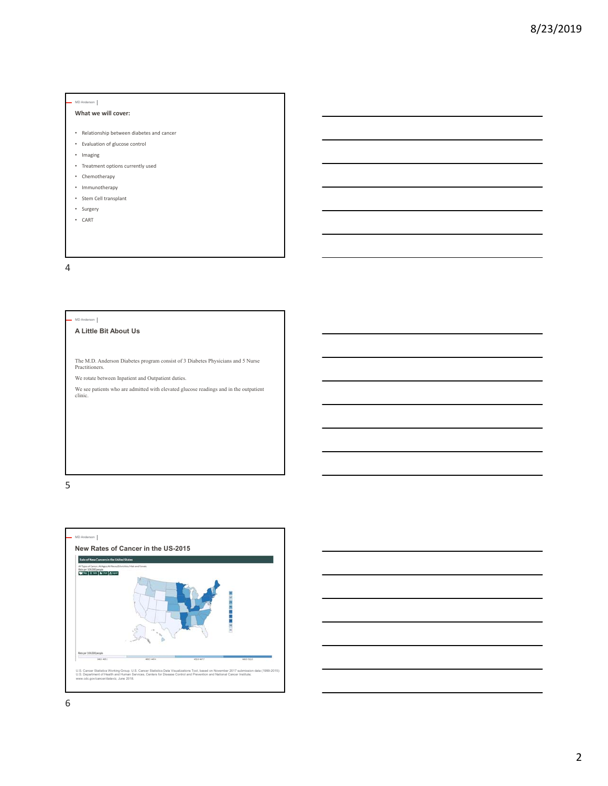## **What we will cover:**

- Relationship between diabetes and cancer
- Evaluation of glucose control
- Imaging
- Treatment options currently used
- Chemotherapy
- Immunotherapy
- Stem Cell transplant
- Surgery
- CART

4

#### MD Anderson

## **A Little Bit About Us**

The M.D. Anderson Diabetes program consist of 3 Diabetes Physicians and 5 Nurse Practitioners.

We rotate between Inpatient and Outpatient duties.

We see patients who are admitted with elevated glucose readings and in the outpatient clinic.





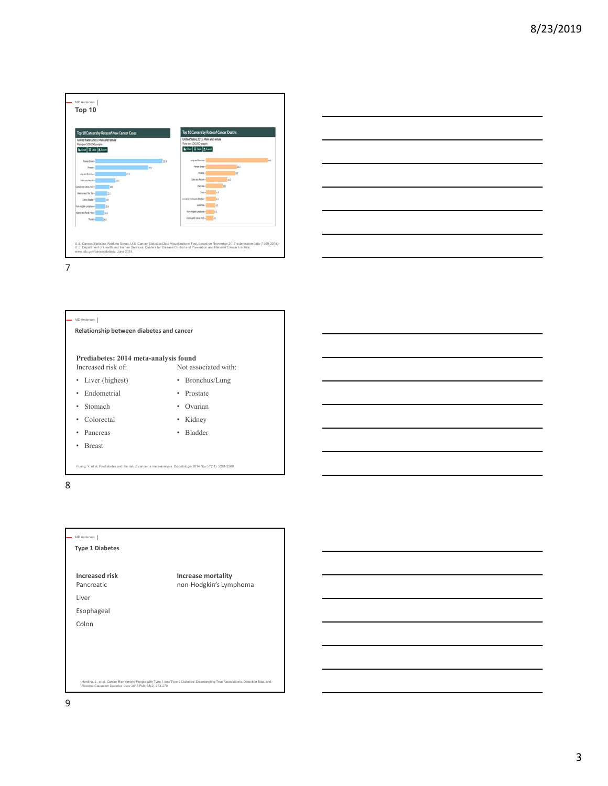



7



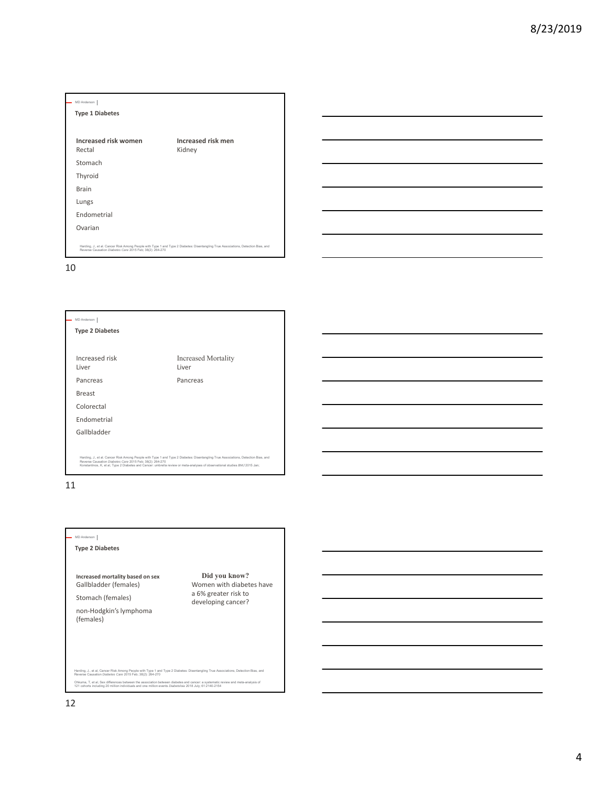| MD Anderson                                              |                                                                                                                                    |
|----------------------------------------------------------|------------------------------------------------------------------------------------------------------------------------------------|
| <b>Type 1 Diabetes</b>                                   |                                                                                                                                    |
|                                                          |                                                                                                                                    |
| Increased risk women<br>Rectal                           | <b>Increased risk men</b><br>Kidney                                                                                                |
| Stomach                                                  |                                                                                                                                    |
| Thyroid                                                  |                                                                                                                                    |
| <b>Brain</b>                                             |                                                                                                                                    |
| Lungs                                                    |                                                                                                                                    |
| Endometrial                                              |                                                                                                                                    |
| Ovarian                                                  |                                                                                                                                    |
| Reverse Causation Diabetes Care 2015 Feb; 38(2): 264-270 | Harding, J., et al. Cancer Risk Among People with Type 1 and Type 2 Diabetes: Disentangling True Associations, Detection Bias, and |

10

I

## MD Anderson **Type 2 Diabetes** Increased risk Liver Pancreas Breast Colorectal Endometrial Gallbladder Increased Mortality Liver Pancreas Harding, J., et al. Cancer Risk Among People with Type 1 and Type 2 Diabetes: Disentangling True Associations, Detection Bias, and<br>Reverse Causation Diabetes Care 2015 Feb; 38(2): 264-270<br>Konstantinos, K, et al., Type 2 Di

11

## MD Anderson

**Type 2 Diabetes**

**Increased mortality based on sex** Gallbladder (females)

Stomach (females)

non‐Hodgkin's lymphoma (females)

**Did you know?** Women with diabetes have a 6% greater risk to developing cancer?

Harding, J., et al, Cancer Risk Among People with Type 1 and Type 2 Diabetes: Disentangling True Associations, Detection Bias, and Reverse Causation *Diabetes Care* 2015 Feb; 38(2): 264-270 Ohkuma, T, et al, Sex differences between the association between diabetes and cancer: a systematic review and meta-analysis of<br>121 cohorts including 20 million individuals and one million events Diabetolois 2018 July; 61: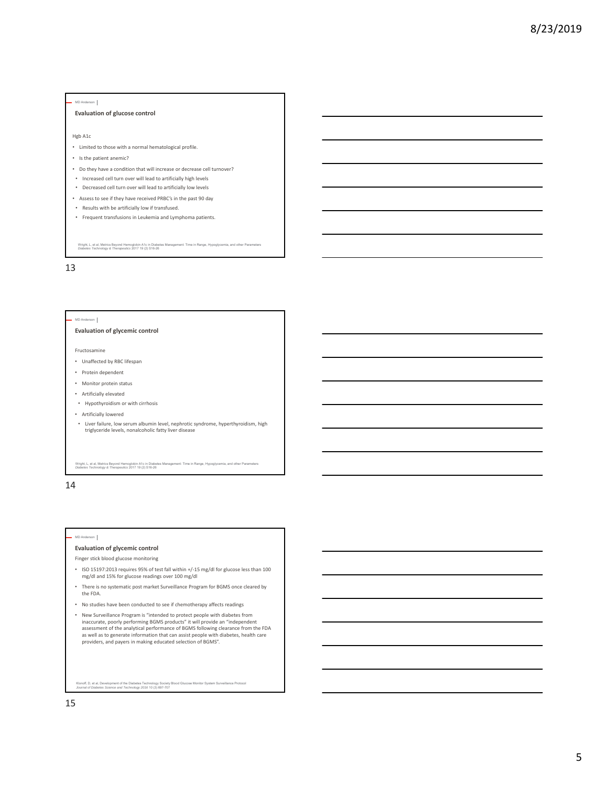### **Evaluation of glucose control**

#### Hgb A1c

- Limited to those with a normal hematological profile.
- Is the patient anemic?
- Do they have a condition that will increase or decrease cell turnover?
- Increased cell turn over will lead to artificially high levels
- Decreased cell turn over will lead to artificially low levels
- Assess to see if they have received PRBC's in the past 90 day
- Results with be artificially low if transfused.
- Frequent transfusions in Leukemia and Lymphoma patients.

Wright, L, et al, Metrics Beyond Hemoglobin A1c in Diabetes Management: Time in Range, Hypoglycemia, and other Parameters *Diabetes Technology & Therapeutics* 2017 19 (2) S16-26

13

#### MD Anderson

### **Evaluation of glycemic control**

Fructosamine

- Unaffected by RBC lifespan
- Protein dependent
- Monitor protein status
- Artificially elevated
- Hypothyroidism or with cirrhosis
- Artificially lowered
- Liver failure, low serum albumin level, nephrotic syndrome, hyperthyroidism, high triglyceride levels, nonalcoholic fatty liver disease

Wright, L, et al, Metrics Beyond Hemoglobin A1c in Diabetes Management: Time in Range, Hypoglycemia, and other Parameters *Diabetes Technology & Therapeutics* 2017 19 (2) S16-26

14

#### $\mathsf{rson}$

#### **Evaluation of glycemic control**

Finger stick blood glucose monitoring

- ISO 15197:2013 requires 95% of test fall within +/‐15 mg/dl for glucose less than 100 mg/dl and 15% for glucose readings over 100 mg/dl
- There is no systematic post market Surveillance Program for BGMS once cleared by the FDA.
- No studies have been conducted to see if chemotherapy affects readings
- New Surveillance Program is "intended to protect people with diabetes from<br>inaccurate, poorly performing BGMS products" it will provide an "independent<br>assessment of the analytical performance of BGMS following clearance as well as to generate information that can assist people with diabetes, health care providers, and payers in making educated selection of BGMS".

Klonoff, D, et al, Development of the Diabetes Technology Society Blood Glucose Monitor System Surveillance Protocol *Journal of Diabetes Science and Technology 2016* 10 (3) 697-707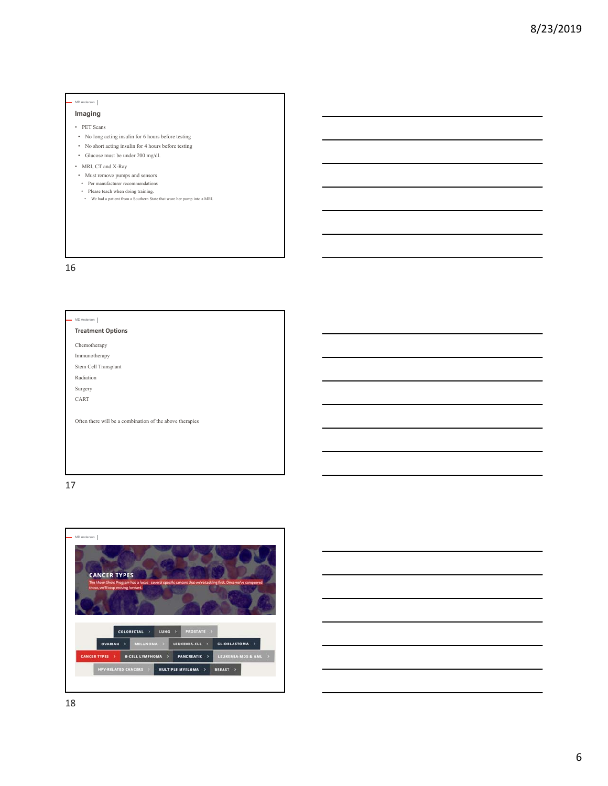**Imaging**

- PET Scans
- No long acting insulin for 6 hours before testing
- No short acting insulin for 4 hours before testing
- Glucose must be under 200 mg/dl.
- MRI, CT and X-Ray
- Must remove pumps and sensors
- Per manufacturer recommendations
- Please teach when doing training. We had a patient from a Southern State that wore her pump into a MRI.

16

#### MD Anderson

## **Treatment Options**

Chemotherapy

Immunotherapy Stem Cell Transplant

Radiation

Surgery

CART

Often there will be a combination of the above therapies



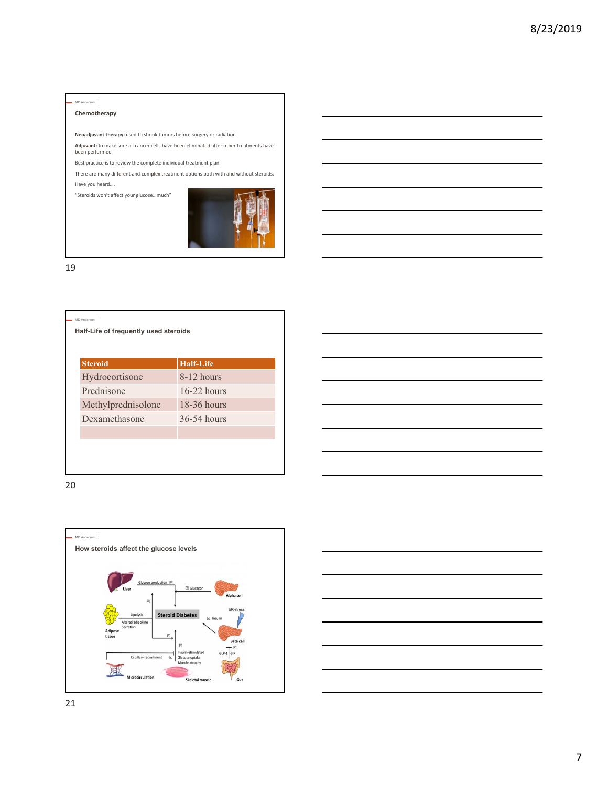## MD Anderson **Chemotherapy**

**Neoadjuvant therapy:** used to shrink tumors before surgery or radiation

**Adjuvant:** to make sure all cancer cells have been eliminated after other treatments have been performed

Best practice is to review the complete individual treatment plan

There are many different and complex treatment options both with and without steroids. Have you heard….

"Steroids won't affect your glucose…much"



19

| $8-12$ hours<br>$16-22$ hours<br>$18-36$ hours | <b>Steroid</b>     | <b>Half-Life</b> |
|------------------------------------------------|--------------------|------------------|
|                                                | Hydrocortisone     |                  |
|                                                | Prednisone         |                  |
|                                                | Methylprednisolone |                  |
|                                                | Dexamethasone      | 36-54 hours      |





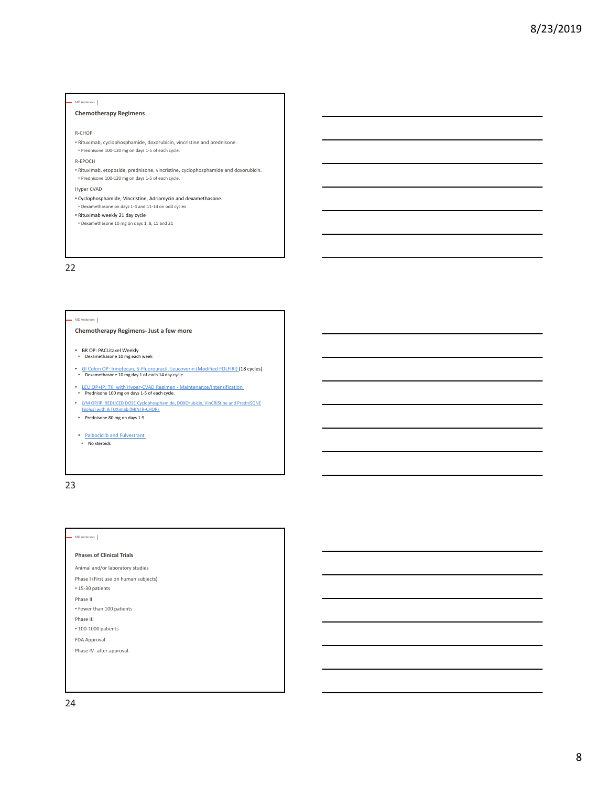## **Chemotherapy Regimens**

#### R‐CHOP

MD Anderson

• Rituximab, cyclophosphamide, doxorubicin, vincristine and prednisone. • Prednisone 100‐120 mg on days 1‐5 of each cycle.

#### R‐EPOCH

- Rituximab, etoposide, prednisone, vincristine, cyclophosphamide and doxorubicin. • Prednisone 100‐120 mg on days 1‐5 of each cycle.
- Hyper CVAD
- Cyclophosphamide, Vincristine, Adriamycin and dexamethasone. • Dexamethasone on days 1‐4 and 11‐14 on odd cycles
- Rituximab weekly 21 day cycle
- Dexamethasone 10 mg on days 1, 8, 15 and 21

## 22

#### MD Anderson

## **Chemotherapy Regimens‐ Just a few more**

- BR OP: PACLitaxel Weekly Dexamethasone 10 mg each week
- 
- GI Colon OP: Irinotecan, 5-Fluorouracil, Leucovorin (Modified FOLFIRI) (18 cycles)<br>• Dexamethasone 10 mg day 1 of each 14 day cycle.
- LEU OP+IP: TKI with Hyper-CVAD Regimen Maintenance/Intensification<br>• Prednisone 100 mg on days 1-5 of each cycle.
- LYM OP/IP: REDUCED DOSE Cyclophosphamide, DOXOrubicin, VinCRIStine and PredniSONE (Bolus) with RiTUXimab (MINI R‐CHOP)
- Prednisone 80 mg on days 1‐5
- <u>Palbociclib and Fulvestrant</u>
- No steroids

23

### MD Anderson

### **Phases of Clinical Trials**

- Animal and/or laboratory studies
- Phase I (First use on human subjects)
- 15‐30 patients
- Phase II • Fewer than 100 patients
- Phase III
- 100‐1000 patients
- FDA Approval
- Phase IV‐ after approval.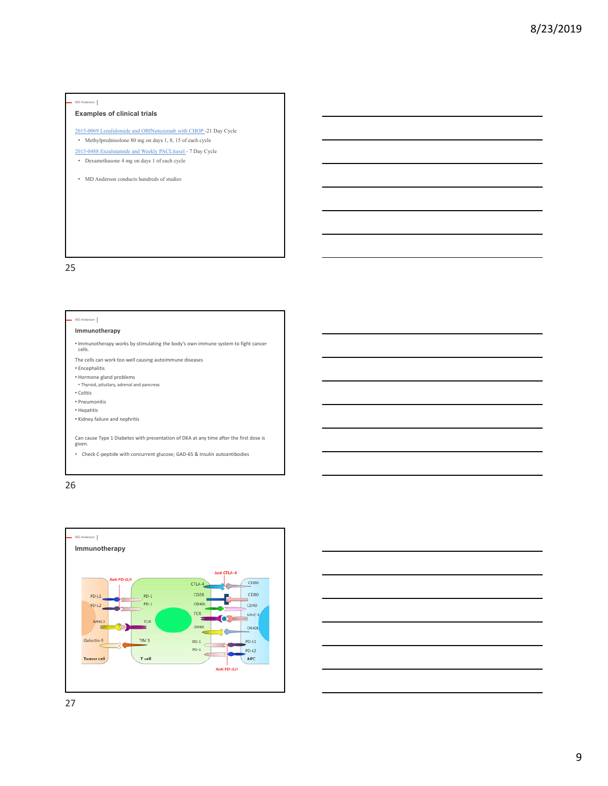## **Examples of clinical trials**

- 2015-0069 Lenalidomide and OBINutuzumab with CHOP -21 Day Cycle • Methylprednisolone 80 mg on days 1, 8, 15 of each cycle
- 2015-0488 Enzalutamide and Weekly PACLitaxel 7 Day Cycle
- Dexamethasone 4 mg on days 1 of each cycle
- MD Anderson conducts hundreds of studies

25

#### MD Anderson

### **Immunotherapy**

• Immunotherapy works by stimulating the body's own immune system to fight cancer cells.

The cells can work too well causing autoimmune diseases

- Encephalitis
- Hormone gland problems
- Thyroid, pituitary, adrenal and pancreas • Colitis

• Pneumonitis

• Hepatitis

• Kidney failure and nephritis

Can cause Type 1 Diabetes with presentation of DKA at any time after the first dose is given.

• Check C‐peptide with concurrent glucose; GAD‐65 & Insulin autoantibodies

26





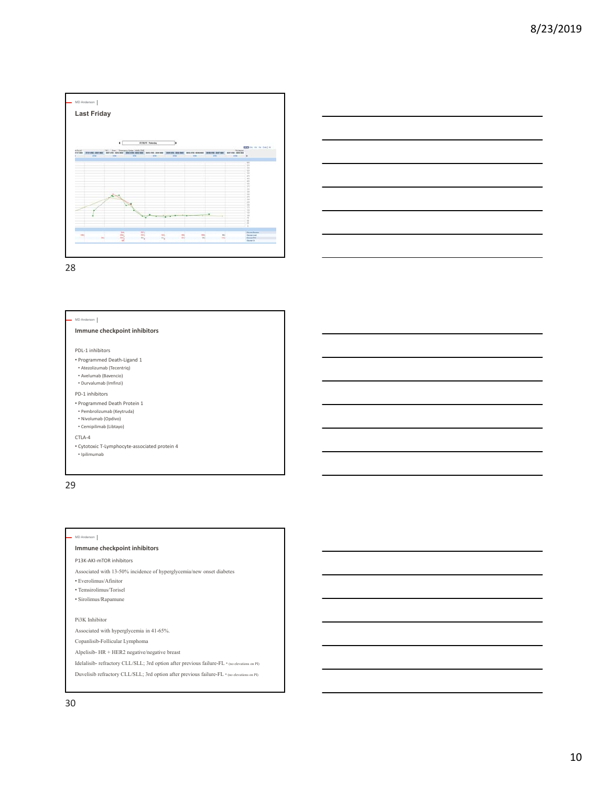



28

#### MD Anderson

## **Immune checkpoint inhibitors**

PDL‐1 inhibitors

- Programmed Death‐Ligand 1
- Atezolizumab (Tecentriq) • Avelumab (Bavencio)
- Durvalumab (Imfinzi)
- PD‐1 inhibitors
- Programmed Death Protein 1
- Pembrolizumab (Keytruda)
- Nivolumab (Opdivo)
- Cemipilimab (Libtayo)
- CTLA‐4
- Cytotoxic T‐Lymphocyte‐associated protein 4 • Ipilimumab

29

### MD Anderson

### **Immune checkpoint inhibitors**

P13K‐AKI‐mTOR inhibitors

- Associated with 13-50% incidence of hyperglycemia/new onset diabetes
- Everolimus/Afinitor
- Temsirolimus/Torisel
- Sirolimus/Rapamune

Pi3K Inhibitor

Associated with hyperglycemia in 41-65%.

Copanlisib-Follicular Lymphoma

- Alpelisib- HR + HER2 negative/negative breast
- Idelalisib- refractory CLL/SLL; 3rd option after previous failure-FL \* (no elevations on PI)
- Duvelisib refractory CLL/SLL; 3rd option after previous failure-FL \* (no elevations on PI)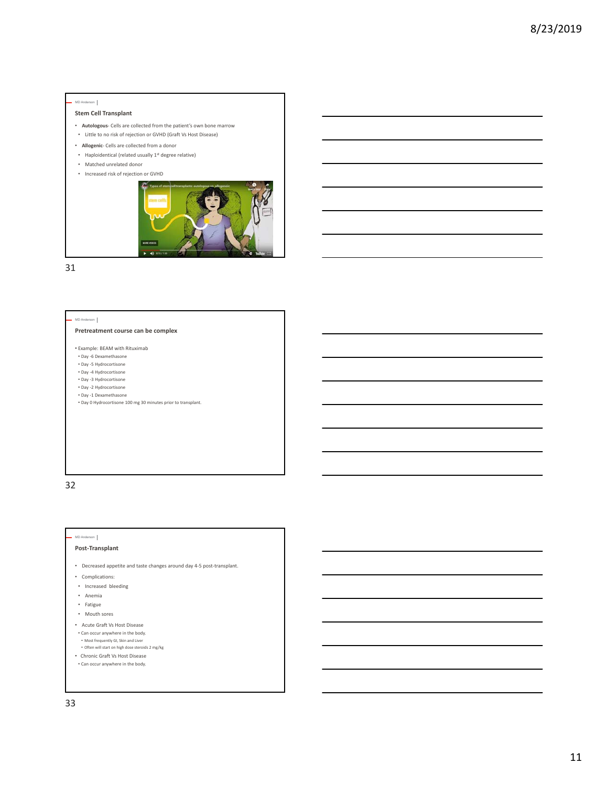### **Stem Cell Transplant**

- **Autologous**‐ Cells are collected from the patient's own bone marrow
- Little to no risk of rejection or GVHD (Graft Vs Host Disease)
- **Allogenic**‐ Cells are collected from a donor
- Haploidentical (related usually  $1^{st}$  degree relative)
- Matched unrelated donor
- Increased risk of rejection or GVHD



31

#### MD Anderson

## **Pretreatment course can be complex**

- Example: BEAM with Rituximab
- Day ‐6 Dexamethasone
- Day ‐5 Hydrocortisone • Day ‐4 Hydrocortisone
- Day ‐3 Hydrocortisone
- Day ‐2 Hydrocortisone
- Day ‐1 Dexamethasone
- Day 0 Hydrocortisone 100 mg 30 minutes prior to transplant.

32

### MD Anderson

## **Post‐Transplant**

- Decreased appetite and taste changes around day 4‐5 post‐transplant.
- Complications:
- Increased bleeding
- Anemia
- Fatigue
- Mouth sores
- Acute Graft Vs Host Disease
- Can occur anywhere in the body.
- Most frequently GI, Skin and Liver
- Often will start on high dose steroids 2 mg/kg
- Chronic Graft Vs Host Disease • Can occur anywhere in the body.